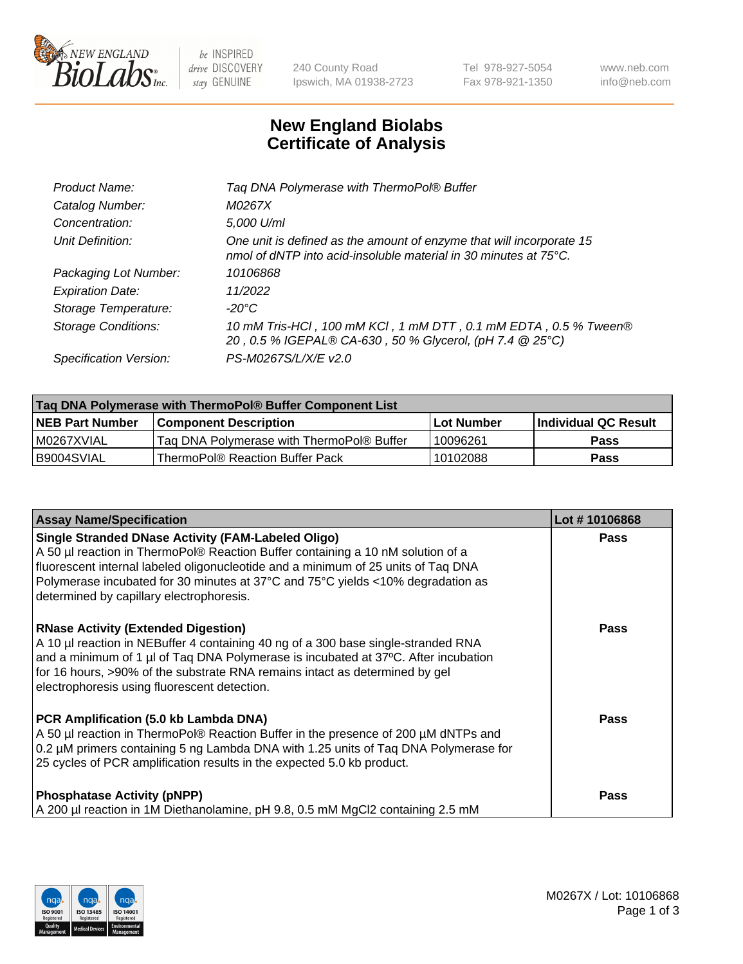

 $be$  INSPIRED drive DISCOVERY stay GENUINE

240 County Road Ipswich, MA 01938-2723 Tel 978-927-5054 Fax 978-921-1350 www.neb.com info@neb.com

## **New England Biolabs Certificate of Analysis**

| Tag DNA Polymerase with ThermoPol® Buffer                                                                                                |
|------------------------------------------------------------------------------------------------------------------------------------------|
| M0267X                                                                                                                                   |
| 5,000 U/ml                                                                                                                               |
| One unit is defined as the amount of enzyme that will incorporate 15<br>nmol of dNTP into acid-insoluble material in 30 minutes at 75°C. |
| 10106868                                                                                                                                 |
| 11/2022                                                                                                                                  |
| $-20^{\circ}$ C                                                                                                                          |
| 10 mM Tris-HCl, 100 mM KCl, 1 mM DTT, 0.1 mM EDTA, 0.5 % Tween®<br>20, 0.5 % IGEPAL® CA-630, 50 % Glycerol, (pH 7.4 @ 25°C)              |
| PS-M0267S/L/X/E v2.0                                                                                                                     |
|                                                                                                                                          |

| Tag DNA Polymerase with ThermoPol® Buffer Component List |                                           |                   |                        |  |
|----------------------------------------------------------|-------------------------------------------|-------------------|------------------------|--|
| <b>INEB Part Number</b>                                  | <b>Component Description</b>              | <b>Lot Number</b> | l Individual QC Result |  |
| IM0267XVIAL                                              | Tag DNA Polymerase with ThermoPol® Buffer | 10096261          | Pass                   |  |
| B9004SVIAL                                               | ThermoPol® Reaction Buffer Pack           | 10102088          | Pass                   |  |

| <b>Assay Name/Specification</b>                                                                                                                                                                                                                                                                                                                                  | Lot #10106868 |
|------------------------------------------------------------------------------------------------------------------------------------------------------------------------------------------------------------------------------------------------------------------------------------------------------------------------------------------------------------------|---------------|
| <b>Single Stranded DNase Activity (FAM-Labeled Oligo)</b><br>A 50 µl reaction in ThermoPol® Reaction Buffer containing a 10 nM solution of a<br>fluorescent internal labeled oligonucleotide and a minimum of 25 units of Taq DNA<br>Polymerase incubated for 30 minutes at 37°C and 75°C yields <10% degradation as<br>determined by capillary electrophoresis. | <b>Pass</b>   |
| <b>RNase Activity (Extended Digestion)</b><br>A 10 µl reaction in NEBuffer 4 containing 40 ng of a 300 base single-stranded RNA<br>and a minimum of 1 µl of Taq DNA Polymerase is incubated at 37°C. After incubation<br>for 16 hours, >90% of the substrate RNA remains intact as determined by gel<br>electrophoresis using fluorescent detection.             | Pass          |
| PCR Amplification (5.0 kb Lambda DNA)<br>A 50 µl reaction in ThermoPol® Reaction Buffer in the presence of 200 µM dNTPs and<br>0.2 µM primers containing 5 ng Lambda DNA with 1.25 units of Taq DNA Polymerase for<br>25 cycles of PCR amplification results in the expected 5.0 kb product.                                                                     | Pass          |
| <b>Phosphatase Activity (pNPP)</b><br>A 200 µl reaction in 1M Diethanolamine, pH 9.8, 0.5 mM MgCl2 containing 2.5 mM                                                                                                                                                                                                                                             | Pass          |

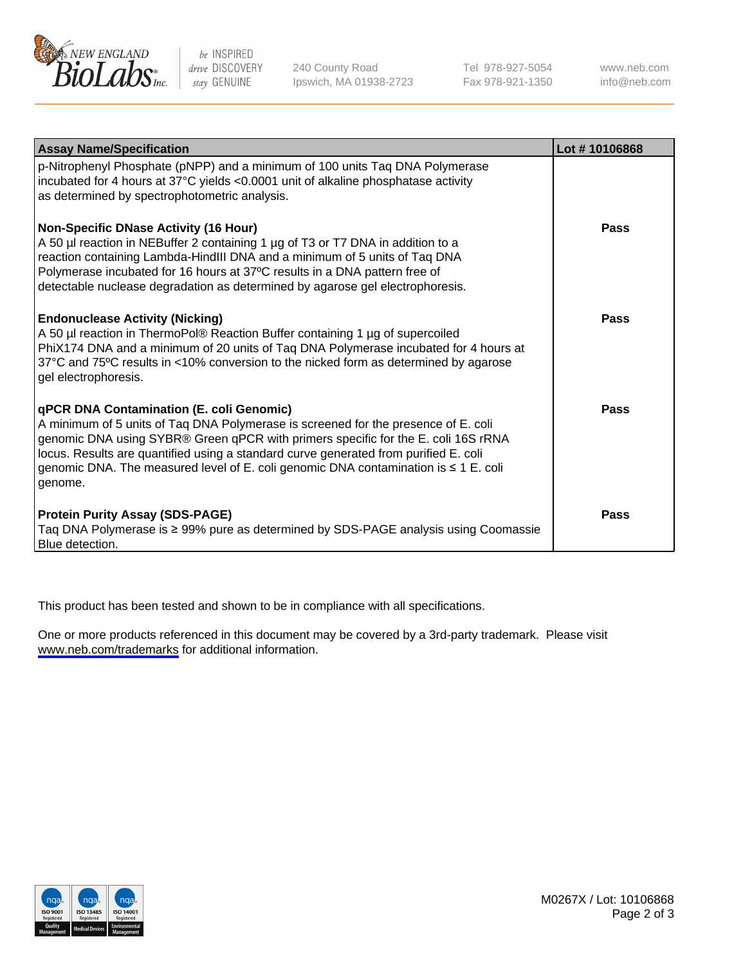

be INSPIRED drive DISCOVERY stay GENUINE

240 County Road Ipswich, MA 01938-2723 Tel 978-927-5054 Fax 978-921-1350

www.neb.com info@neb.com

| <b>Assay Name/Specification</b>                                                                                                                                                                                                                                                                                                                                                                               | Lot #10106868 |
|---------------------------------------------------------------------------------------------------------------------------------------------------------------------------------------------------------------------------------------------------------------------------------------------------------------------------------------------------------------------------------------------------------------|---------------|
| p-Nitrophenyl Phosphate (pNPP) and a minimum of 100 units Taq DNA Polymerase<br>incubated for 4 hours at 37°C yields <0.0001 unit of alkaline phosphatase activity<br>as determined by spectrophotometric analysis.                                                                                                                                                                                           |               |
| <b>Non-Specific DNase Activity (16 Hour)</b><br>A 50 µl reaction in NEBuffer 2 containing 1 µg of T3 or T7 DNA in addition to a<br>reaction containing Lambda-HindIII DNA and a minimum of 5 units of Taq DNA<br>Polymerase incubated for 16 hours at 37°C results in a DNA pattern free of<br>detectable nuclease degradation as determined by agarose gel electrophoresis.                                  | Pass          |
| <b>Endonuclease Activity (Nicking)</b><br>A 50 µl reaction in ThermoPol® Reaction Buffer containing 1 µg of supercoiled<br>PhiX174 DNA and a minimum of 20 units of Taq DNA Polymerase incubated for 4 hours at<br>37°C and 75°C results in <10% conversion to the nicked form as determined by agarose<br>gel electrophoresis.                                                                               | Pass          |
| qPCR DNA Contamination (E. coli Genomic)<br>A minimum of 5 units of Taq DNA Polymerase is screened for the presence of E. coli<br>genomic DNA using SYBR® Green qPCR with primers specific for the E. coli 16S rRNA<br>locus. Results are quantified using a standard curve generated from purified E. coli<br>genomic DNA. The measured level of E. coli genomic DNA contamination is ≤ 1 E. coli<br>genome. | Pass          |
| <b>Protein Purity Assay (SDS-PAGE)</b><br>Taq DNA Polymerase is ≥ 99% pure as determined by SDS-PAGE analysis using Coomassie<br>Blue detection.                                                                                                                                                                                                                                                              | Pass          |

This product has been tested and shown to be in compliance with all specifications.

One or more products referenced in this document may be covered by a 3rd-party trademark. Please visit <www.neb.com/trademarks>for additional information.